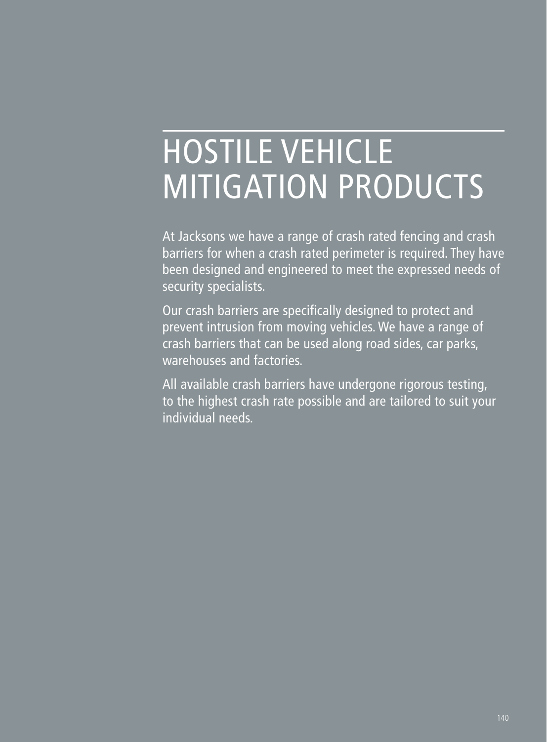# HOSTILE VEHICLE MITIGATION PRODUCTS

At Jacksons we have a range of crash rated fencing and crash barriers for when a crash rated perimeter is required. They have been designed and engineered to meet the expressed needs of security specialists.

Our crash barriers are specifically designed to protect and prevent intrusion from moving vehicles. We have a range of crash barriers that can be used along road sides, car parks, warehouses and factories.

All available crash barriers have undergone rigorous testing, to the highest crash rate possible and are tailored to suit your individual needs.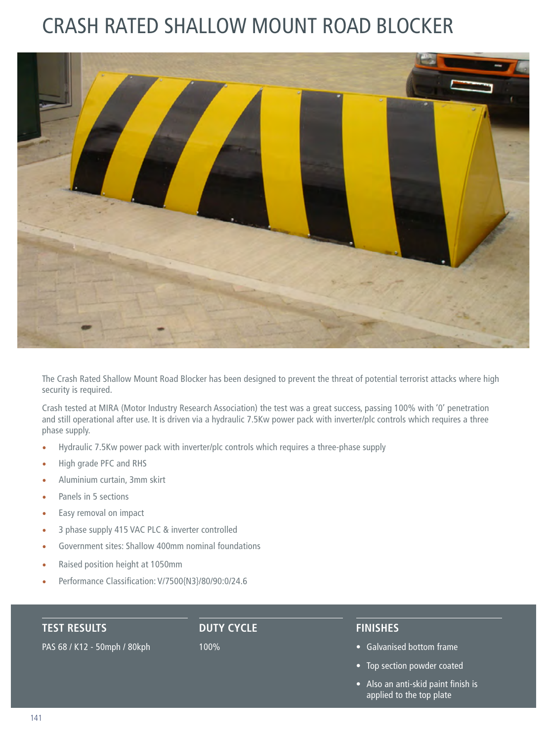# CRASH RATED SHALLOW MOUNT ROAD BLOCKER



The Crash Rated Shallow Mount Road Blocker has been designed to prevent the threat of potential terrorist attacks where high security is required.

Crash tested at MIRA (Motor Industry Research Association) the test was a great success, passing 100% with '0' penetration and still operational after use. It is driven via a hydraulic 7.5Kw power pack with inverter/plc controls which requires a three phase supply.

- Hydraulic 7.5Kw power pack with inverter/plc controls which requires a three-phase supply
- High grade PFC and RHS
- Aluminium curtain, 3mm skirt
- Panels in 5 sections
- Easy removal on impact
- 3 phase supply 415 VAC PLC & inverter controlled
- Government sites: Shallow 400mm nominal foundations
- Raised position height at 1050mm
- Performance Classification: V/7500{N3}/80/90:0/24.6

**TEST RESULTS** 

**DUTY CYCLE** 

PAS 68 / K12 - 50mph / 80kph

100%

### **FINISHES**

- Galvanised bottom frame
- Top section powder coated
- Also an anti-skid paint finish is applied to the top plate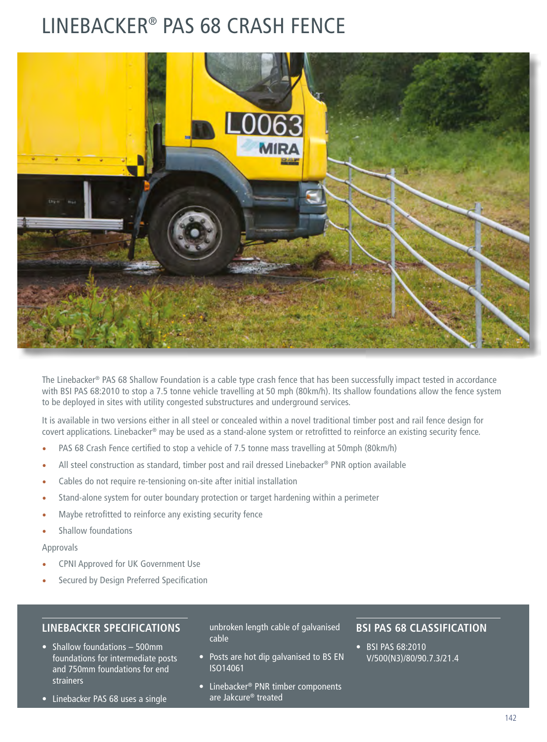# LINEBACKER® PAS 68 CRASH FENCE



The Linebacker<sup>®</sup> PAS 68 Shallow Foundation is a cable type crash fence that has been successfully impact tested in accordance with BSI PAS 68:2010 to stop a 7.5 tonne vehicle travelling at 50 mph (80km/h). Its shallow foundations allow the fence system to be deployed in sites with utility congested substructures and underground services.

It is available in two versions either in all steel or concealed within a novel traditional timber post and rail fence design for covert applications. Linebacker® may be used as a stand-alone system or retrofitted to reinforce an existing security fence.

- PAS 68 Crash Fence certified to stop a vehicle of 7.5 tonne mass travelling at 50mph (80km/h)
- All steel construction as standard, timber post and rail dressed Linebacker® PNR option available
- Cables do not require re-tensioning on-site after initial installation
- Stand-alone system for outer boundary protection or target hardening within a perimeter
- Maybe retrofitted to reinforce any existing security fence
- Shallow foundations

Approvals

- CPNI Approved for UK Government Use
- Secured by Design Preferred Specification

### **LINEBACKER SPECIFICATIONS**

- Shallow foundations 500mm foundations for intermediate posts and 750mm foundations for end strainers
- Linebacker PAS 68 uses a single

unbroken length cable of galvanised cable

- Posts are hot dip galvanised to BS EN ISO14061
- Linebacker<sup>®</sup> PNR timber components are Jakcure® treated

### **BSI PAS 68 CLASSIFICATION**

• BSI PAS 68:2010 V/500(N3)/80/90.7.3/21.4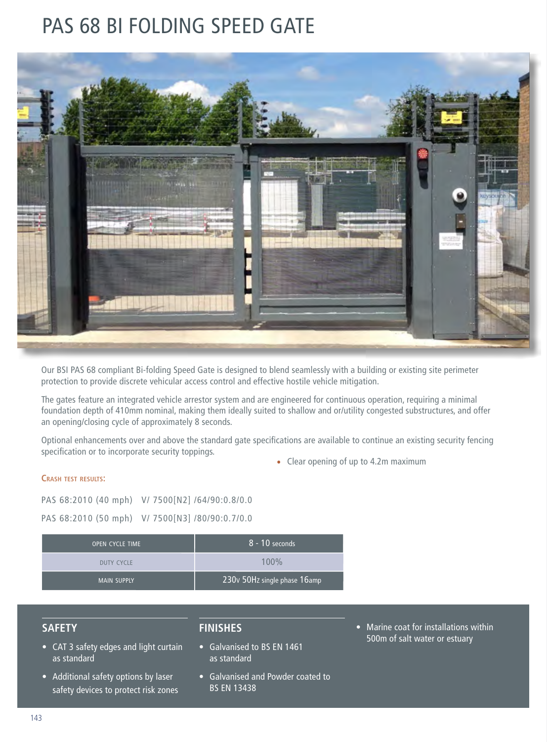# PAS 68 BI FOLDING SPEED GATE



Our BSI PAS 68 compliant Bi-folding Speed Gate is designed to blend seamlessly with a building or existing site perimeter protection to provide discrete vehicular access control and effective hostile vehicle mitigation.

The gates feature an integrated vehicle arrestor system and are engineered for continuous operation, requiring a minimal foundation depth of 410mm nominal, making them ideally suited to shallow and or/utility congested substructures, and offer an opening/closing cycle of approximately 8 seconds.

Optional enhancements over and above the standard gate specifications are available to continue an existing security fencing specification or to incorporate security toppings.

• Clear opening of up to 4.2m maximum

#### **Crash test results:**

PAS 68:2010 (40 mph) V/ 7500[N2] /64/90:0.8/0.0 PAS 68:2010 (50 mph) V/ 7500[N3] /80/90:0.7/0.0

| <b>OPEN CYCLE TIME</b> | ' 8 - 10 seconds.            |
|------------------------|------------------------------|
| DUTY CYCLE             | $100\%$                      |
| <b>MAIN SUPPLY</b>     | 230v 50Hz single phase 16amp |

#### **SAFETY**

- CAT 3 safety edges and light curtain as standard
- Additional safety options by laser safety devices to protect risk zones

#### **FINISHES**

- Galvanised to BS EN 1461 as standard
- Galvanised and Powder coated to BS EN 13438
- Marine coat for installations within 500m of salt water or estuary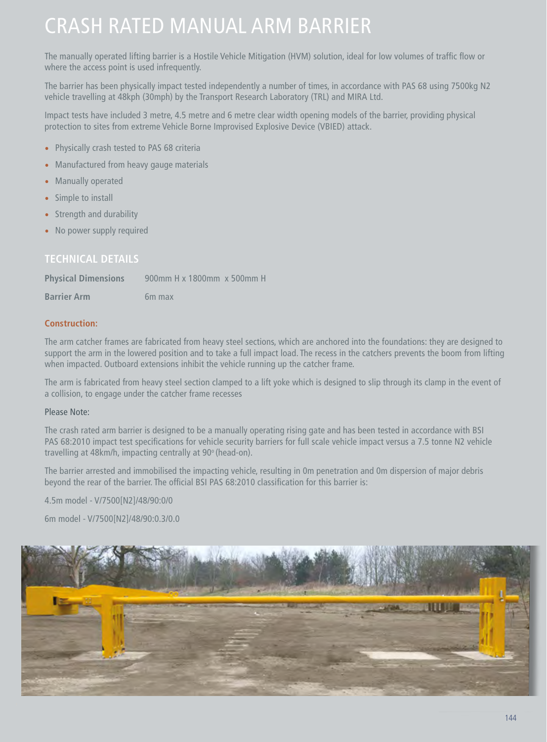## CRASH RATED MANUAL ARM BARRIER

The manually operated lifting barrier is a Hostile Vehicle Mitigation (HVM) solution, ideal for low volumes of traffic flow or where the access point is used infrequently.

The barrier has been physically impact tested independently a number of times, in accordance with PAS 68 using 7500kg N2 vehicle travelling at 48kph (30mph) by the Transport Research Laboratory (TRL) and MIRA Ltd.

Impact tests have included 3 metre, 4.5 metre and 6 metre clear width opening models of the barrier, providing physical protection to sites from extreme Vehicle Borne Improvised Explosive Device (VBIED) attack.

- Physically crash tested to PAS 68 criteria
- Manufactured from heavy gauge materials
- Manually operated
- Simple to install
- Strength and durability
- No power supply required

### **TECHNICAL DETAILS**

**Physical Dimensions** 900mm H x 1800mm x 500mm H

**Barrier Arm** 6m max

#### **Construction:**

The arm catcher frames are fabricated from heavy steel sections, which are anchored into the foundations: they are designed to support the arm in the lowered position and to take a full impact load. The recess in the catchers prevents the boom from lifting when impacted. Outboard extensions inhibit the vehicle running up the catcher frame.

The arm is fabricated from heavy steel section clamped to a lift yoke which is designed to slip through its clamp in the event of a collision, to engage under the catcher frame recesses

#### Please Note:

The crash rated arm barrier is designed to be a manually operating rising gate and has been tested in accordance with BSI PAS 68:2010 impact test specifications for vehicle security barriers for full scale vehicle impact versus a 7.5 tonne N2 vehicle travelling at 48km/h, impacting centrally at 90° (head-on).

The barrier arrested and immobilised the impacting vehicle, resulting in 0m penetration and 0m dispersion of major debris beyond the rear of the barrier. The official BSI PAS 68:2010 classification for this barrier is:

4.5m model - V/7500[N2]/48/90:0/0

6m model - V/7500[N2]/48/90:0.3/0.0

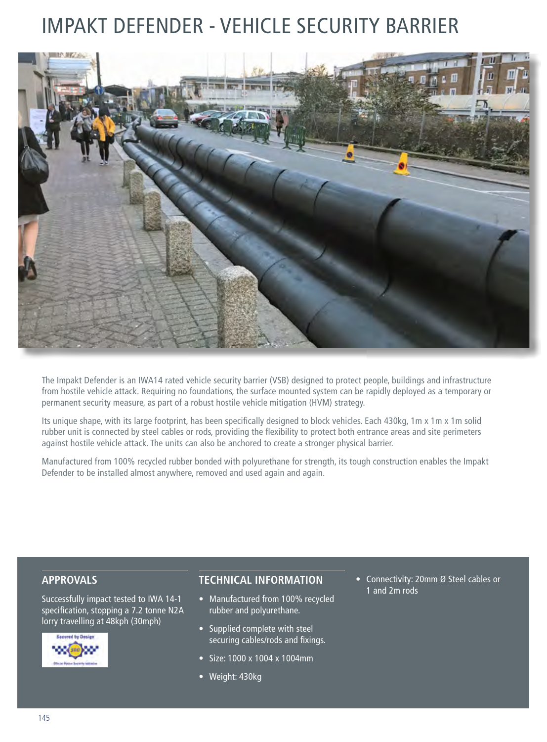# IMPAKT DEFENDER - VEHICLE SECURITY BARRIER



The Impakt Defender is an IWA14 rated vehicle security barrier (VSB) designed to protect people, buildings and infrastructure from hostile vehicle attack. Requiring no foundations, the surface mounted system can be rapidly deployed as a temporary or permanent security measure, as part of a robust hostile vehicle mitigation (HVM) strategy.

Its unique shape, with its large footprint, has been specifically designed to block vehicles. Each 430kg, 1m x 1m x 1m solid rubber unit is connected by steel cables or rods, providing the flexibility to protect both entrance areas and site perimeters against hostile vehicle attack. The units can also be anchored to create a stronger physical barrier.

Manufactured from 100% recycled rubber bonded with polyurethane for strength, its tough construction enables the Impakt Defender to be installed almost anywhere, removed and used again and again.

#### **APPROVALS**

Successfully impact tested to IWA 14-1 specification, stopping a 7.2 tonne N2A lorry travelling at 48kph (30mph)



### **TECHNICAL INFORMATION**

- Manufactured from 100% recycled rubber and polyurethane.
- Supplied complete with steel securing cables/rods and fixings.
- Size: 1000 x 1004 x 1004mm
- Weight: 430kg

• Connectivity: 20mm Ø Steel cables or 1 and 2m rods